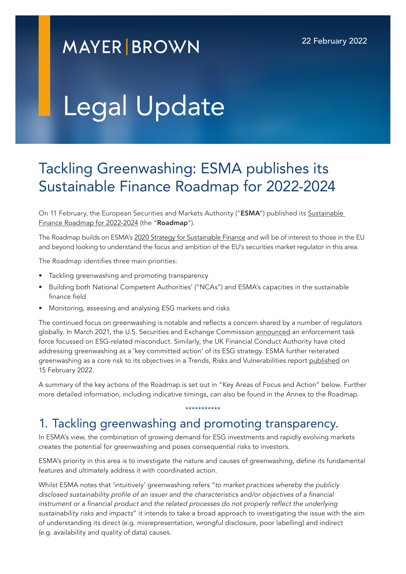## **MAYER BROWN**

# Legal Update

## Tackling Greenwashing: ESMA publishes its Sustainable Finance Roadmap for 2022-2024

On 11 February, the European Securities and Markets Authority ("ESMA") published its Sustainable [Finance Roadmap for 2022-2024](https://www.esma.europa.eu/press-news/esma-news/esma-prioritises-fight-against-greenwashing-in-its-new-sustainable-finance) (the "Roadmap").

The Roadmap builds on ESMA's [2020 Strategy for Sustainable Finance](https://www.esma.europa.eu/press-news/esma-news/esma-sets-out-its-strategy-sustainable-finance) and will be of interest to those in the EU and beyond looking to understand the focus and ambition of the EU's securities market regulator in this area.

The Roadmap identifies three main priorities:

- Tackling greenwashing and promoting transparency
- Building both National Competent Authorities' ("NCAs") and ESMA's capacities in the sustainable finance field
- Monitoring, assessing and analysing ESG markets and risks

The continued focus on greenwashing is notable and reflects a concern shared by a number of regulators globally. In March 2021, the U.S. Securities and Exchange Commission [announced](https://www.sec.gov/news/press-release/2021-42) an enforcement task force focussed on ESG-related misconduct. Similarly, the UK Financial Conduct Authority have cited addressing greenwashing as a 'key committed action' of its [ESG strategy.](https://www.fca.org.uk/publications/corporate-documents/strategy-positive-change-our-esg-priorities) ESMA further reiterated greenwashing as a core risk to its objectives in a Trends, Risks and Vulnerabilities report [published](https://www.esma.europa.eu/sites/default/files/library/esma50-165-2063_monitoring_environmental_risks.pdf) on 15 February 2022.

A summary of the key actions of the Roadmap is set out in "Key Areas of Focus and Action" below. Further more detailed information, including indicative timings, can also be found in the Annex to the Roadmap.

\*\*\*\*\*\*\*\*\*\*\*

#### 1. Tackling greenwashing and promoting transparency.

In ESMA's view, the combination of growing demand for ESG investments and rapidly evolving markets creates the potential for greenwashing and poses consequential risks to investors.

ESMA's priority in this area is to investigate the nature and causes of greenwashing, define its fundamental features and ultimately address it with coordinated action.

Whilst ESMA notes that 'intuitively' greenwashing refers "*to market practices whereby the publicly disclosed sustainability profile of an issuer and the characteristics and/or objectives of a financial*  instrument or a financial product and the related processes do not properly reflect the underlying *sustainability risks and impacts*" it intends to take a broad approach to investigating the issue with the aim of understanding its direct (e.g. misrepresentation, wrongful disclosure, poor labelling) and indirect (e.g. availability and quality of data) causes.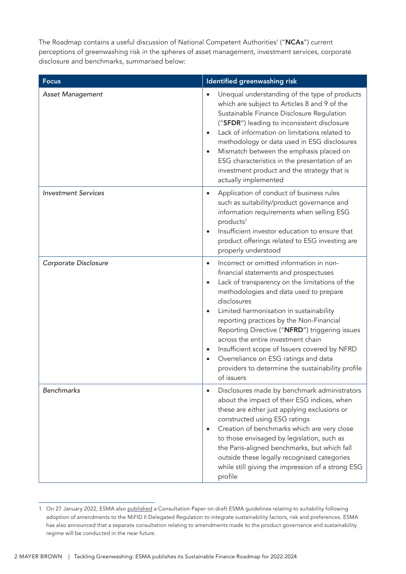The Roadmap contains a useful discussion of National Competent Authorities' ("NCAs") current perceptions of greenwashing risk in the spheres of asset management, investment services, corporate disclosure and benchmarks, summarised below:

| <b>Focus</b>               | Identified greenwashing risk                                                                                                                                                                                                                                                                                                                                                                                                                                                                                                                                                                             |
|----------------------------|----------------------------------------------------------------------------------------------------------------------------------------------------------------------------------------------------------------------------------------------------------------------------------------------------------------------------------------------------------------------------------------------------------------------------------------------------------------------------------------------------------------------------------------------------------------------------------------------------------|
| <b>Asset Management</b>    | Unequal understanding of the type of products<br>$\bullet$<br>which are subject to Articles 8 and 9 of the<br>Sustainable Finance Disclosure Regulation<br>("SFDR") leading to inconsistent disclosure<br>Lack of information on limitations related to<br>$\bullet$<br>methodology or data used in ESG disclosures<br>Mismatch between the emphasis placed on<br>$\bullet$<br>ESG characteristics in the presentation of an<br>investment product and the strategy that is<br>actually implemented                                                                                                      |
| <b>Investment Services</b> | Application of conduct of business rules<br>$\bullet$<br>such as suitability/product governance and<br>information requirements when selling ESG<br>products <sup>1</sup><br>Insufficient investor education to ensure that<br>$\bullet$<br>product offerings related to ESG investing are<br>properly understood                                                                                                                                                                                                                                                                                        |
| Corporate Disclosure       | Incorrect or omitted information in non-<br>$\bullet$<br>financial statements and prospectuses<br>Lack of transparency on the limitations of the<br>$\bullet$<br>methodologies and data used to prepare<br>disclosures<br>Limited harmonisation in sustainability<br>$\bullet$<br>reporting practices by the Non-Financial<br>Reporting Directive ("NFRD") triggering issues<br>across the entire investment chain<br>Insufficient scope of Issuers covered by NFRD<br>$\bullet$<br>Overreliance on ESG ratings and data<br>$\bullet$<br>providers to determine the sustainability profile<br>of issuers |
| <b>Benchmarks</b>          | Disclosures made by benchmark administrators<br>$\bullet$<br>about the impact of their ESG indices, when<br>these are either just applying exclusions or<br>constructed using ESG ratings<br>Creation of benchmarks which are very close<br>$\bullet$<br>to those envisaged by legislation, such as<br>the Paris-aligned benchmarks, but which fall<br>outside these legally recognised categories<br>while still giving the impression of a strong ESG<br>profile                                                                                                                                       |

<sup>1</sup> On 27 January 2022, ESMA also [published](https://www.esma.europa.eu/sites/default/files/library/esma35-43-2998_consultation_paper_on_review_mifid_ii_guidelines_on_suitability.pdf) a Consultation Paper on draft ESMA guidelines relating to suitability following adoption of amendments to the MiFID II Delegated Regulation to integrate sustainability factors, risk and preferences. ESMA has also announced that a separate consultation relating to amendments made to the product governance and sustainability regime will be conducted in the near future.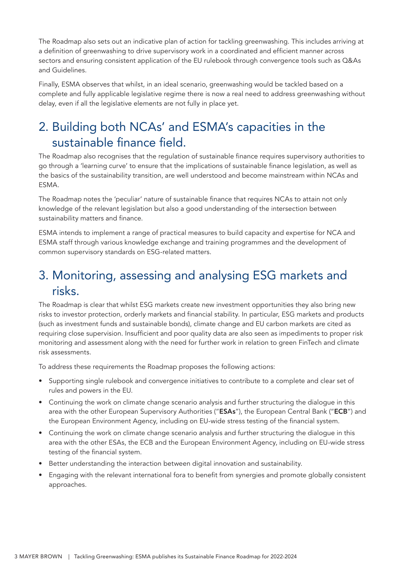The Roadmap also sets out an indicative plan of action for tackling greenwashing. This includes arriving at a definition of greenwashing to drive supervisory work in a coordinated and efficient manner across sectors and ensuring consistent application of the EU rulebook through convergence tools such as Q&As and Guidelines.

Finally, ESMA observes that whilst, in an ideal scenario, greenwashing would be tackled based on a complete and fully applicable legislative regime there is now a real need to address greenwashing without delay, even if all the legislative elements are not fully in place yet.

## 2. Building both NCAs' and ESMA's capacities in the sustainable finance field.

The Roadmap also recognises that the regulation of sustainable finance requires supervisory authorities to go through a 'learning curve' to ensure that the implications of sustainable finance legislation, as well as the basics of the sustainability transition, are well understood and become mainstream within NCAs and ESMA.

The Roadmap notes the 'peculiar' nature of sustainable finance that requires NCAs to attain not only knowledge of the relevant legislation but also a good understanding of the intersection between sustainability matters and finance.

ESMA intends to implement a range of practical measures to build capacity and expertise for NCA and ESMA staff through various knowledge exchange and training programmes and the development of common supervisory standards on ESG-related matters.

### 3. Monitoring, assessing and analysing ESG markets and risks.

The Roadmap is clear that whilst ESG markets create new investment opportunities they also bring new risks to investor protection, orderly markets and financial stability. In particular, ESG markets and products (such as investment funds and sustainable bonds), climate change and EU carbon markets are cited as requiring close supervision. Insufficient and poor quality data are also seen as impediments to proper risk monitoring and assessment along with the need for further work in relation to green FinTech and climate risk assessments.

To address these requirements the Roadmap proposes the following actions:

- Supporting single rulebook and convergence initiatives to contribute to a complete and clear set of rules and powers in the EU.
- Continuing the work on climate change scenario analysis and further structuring the dialogue in this area with the other European Supervisory Authorities ("ESAs"), the European Central Bank ("ECB") and the European Environment Agency, including on EU-wide stress testing of the financial system.
- Continuing the work on climate change scenario analysis and further structuring the dialogue in this area with the other ESAs, the ECB and the European Environment Agency, including on EU-wide stress testing of the financial system.
- Better understanding the interaction between digital innovation and sustainability.
- Engaging with the relevant international fora to benefit from synergies and promote globally consistent approaches.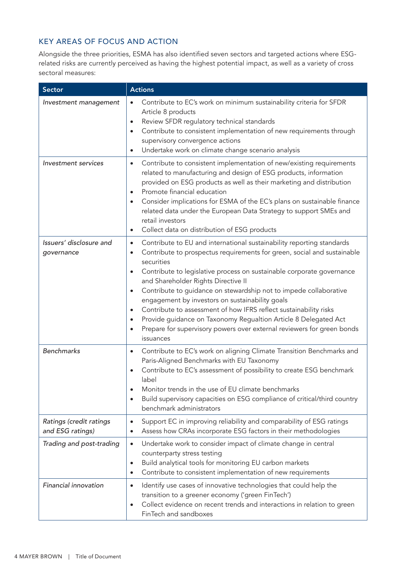#### KEY AREAS OF FOCUS AND ACTION

Alongside the three priorities, ESMA has also identified seven sectors and targeted actions where ESGrelated risks are currently perceived as having the highest potential impact, as well as a variety of cross sectoral measures:

| <b>Sector</b>                               | <b>Actions</b>                                                                                                                                                                                                                                                                                                                                                                                                                                                                                                                                                                                                                                                                                                           |
|---------------------------------------------|--------------------------------------------------------------------------------------------------------------------------------------------------------------------------------------------------------------------------------------------------------------------------------------------------------------------------------------------------------------------------------------------------------------------------------------------------------------------------------------------------------------------------------------------------------------------------------------------------------------------------------------------------------------------------------------------------------------------------|
| Investment management                       | Contribute to EC's work on minimum sustainability criteria for SFDR<br>$\bullet$<br>Article 8 products<br>Review SFDR regulatory technical standards<br>$\bullet$<br>Contribute to consistent implementation of new requirements through<br>$\bullet$<br>supervisory convergence actions<br>Undertake work on climate change scenario analysis<br>$\bullet$                                                                                                                                                                                                                                                                                                                                                              |
| <b>Investment</b> services                  | Contribute to consistent implementation of new/existing requirements<br>$\bullet$<br>related to manufacturing and design of ESG products, information<br>provided on ESG products as well as their marketing and distribution<br>Promote financial education<br>٠<br>Consider implications for ESMA of the EC's plans on sustainable finance<br>$\bullet$<br>related data under the European Data Strategy to support SMEs and<br>retail investors<br>Collect data on distribution of ESG products<br>$\bullet$                                                                                                                                                                                                          |
| Issuers' disclosure and<br>governance       | Contribute to EU and international sustainability reporting standards<br>$\bullet$<br>Contribute to prospectus requirements for green, social and sustainable<br>$\bullet$<br>securities<br>Contribute to legislative process on sustainable corporate governance<br>٠<br>and Shareholder Rights Directive II<br>Contribute to guidance on stewardship not to impede collaborative<br>$\bullet$<br>engagement by investors on sustainability goals<br>Contribute to assessment of how IFRS reflect sustainability risks<br>$\bullet$<br>Provide guidance on Taxonomy Regualtion Article 8 Delegated Act<br>$\bullet$<br>Prepare for supervisory powers over external reviewers for green bonds<br>$\bullet$<br>issuances |
| <b>Benchmarks</b>                           | Contribute to EC's work on aligning Climate Transition Benchmarks and<br>$\bullet$<br>Paris-Aligned Benchmarks with EU Taxonomy<br>Contribute to EC's assessment of possibility to create ESG benchmark<br>$\bullet$<br>label<br>Monitor trends in the use of EU climate benchmarks<br>$\bullet$<br>Build supervisory capacities on ESG compliance of critical/third country<br>$\bullet$<br>benchmark administrators                                                                                                                                                                                                                                                                                                    |
| Ratings (credit ratings<br>and ESG ratings) | Support EC in improving reliability and comparability of ESG ratings<br>$\bullet$<br>Assess how CRAs incorporate ESG factors in their methodologies<br>٠                                                                                                                                                                                                                                                                                                                                                                                                                                                                                                                                                                 |
| Trading and post-trading                    | Undertake work to consider impact of climate change in central<br>$\bullet$<br>counterparty stress testing<br>Build analytical tools for monitoring EU carbon markets<br>$\bullet$<br>Contribute to consistent implementation of new requirements<br>$\bullet$                                                                                                                                                                                                                                                                                                                                                                                                                                                           |
| Financial innovation                        | Identify use cases of innovative technologies that could help the<br>$\bullet$<br>transition to a greener economy ('green FinTech')<br>Collect evidence on recent trends and interactions in relation to green<br>$\bullet$<br>FinTech and sandboxes                                                                                                                                                                                                                                                                                                                                                                                                                                                                     |